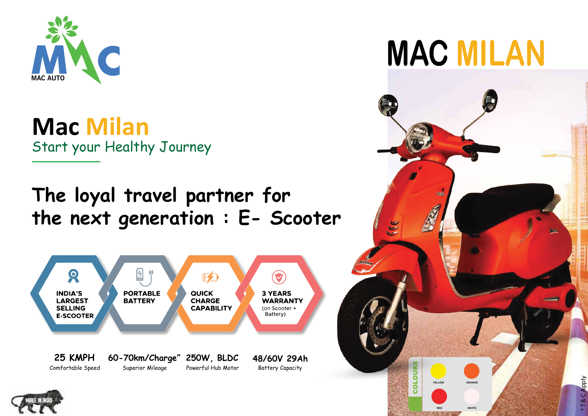

**Mac Milan** Start your Healthy Journey

## **The loyal travel partner for the next generation : E- Scooter**





## **MAC MILAN**